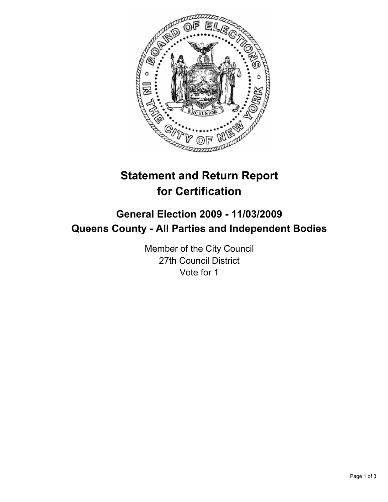

# **Statement and Return Report for Certification**

## **General Election 2009 - 11/03/2009 Queens County - All Parties and Independent Bodies**

Member of the City Council 27th Council District Vote for 1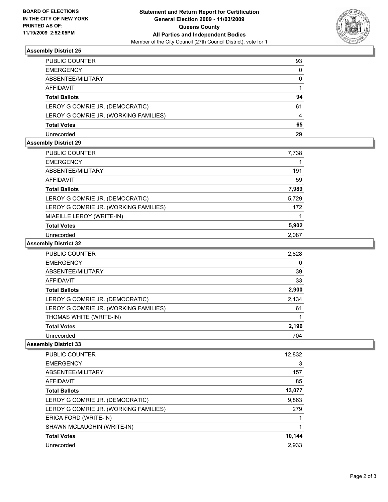

### **Assembly District 25**

| PUBLIC COUNTER                        | 93           |
|---------------------------------------|--------------|
| EMERGENCY                             | $\mathbf{0}$ |
| ABSENTEE/MILITARY                     | 0            |
| AFFIDAVIT                             |              |
| Total Ballots                         | 94           |
| LEROY G COMRIE JR. (DEMOCRATIC)       | 61           |
| LEROY G COMRIE JR. (WORKING FAMILIES) | 4            |
| Total Votes                           | 65           |
| Unrecorded                            | 29           |

### **Assembly District 29**

| PUBLIC COUNTER                        | 7,738 |
|---------------------------------------|-------|
| <b>EMERGENCY</b>                      |       |
| ABSENTEE/MILITARY                     | 191   |
| AFFIDAVIT                             | 59    |
| <b>Total Ballots</b>                  | 7,989 |
| LEROY G COMRIE JR. (DEMOCRATIC)       | 5,729 |
| LEROY G COMRIE JR. (WORKING FAMILIES) | 172   |
| MIAEILLE LEROY (WRITE-IN)             |       |
| <b>Total Votes</b>                    | 5,902 |
| Unrecorded                            | 2,087 |

**Assembly District 32**

| PUBLIC COUNTER                        | 2,828 |
|---------------------------------------|-------|
| <b>EMERGENCY</b>                      | 0     |
| ABSENTEE/MILITARY                     | 39    |
| <b>AFFIDAVIT</b>                      | 33    |
| <b>Total Ballots</b>                  | 2,900 |
| LEROY G COMRIE JR. (DEMOCRATIC)       | 2,134 |
| LEROY G COMRIE JR. (WORKING FAMILIES) | 61    |
| THOMAS WHITE (WRITE-IN)               |       |
| <b>Total Votes</b>                    | 2,196 |
| Unrecorded                            | 704   |

### **Assembly District 33**

| PUBLIC COUNTER                        | 12,832 |
|---------------------------------------|--------|
| <b>EMERGENCY</b>                      | 3      |
| ABSENTEE/MILITARY                     | 157    |
| AFFIDAVIT                             | 85     |
| <b>Total Ballots</b>                  | 13,077 |
| LEROY G COMRIE JR. (DEMOCRATIC)       | 9,863  |
| LEROY G COMRIE JR. (WORKING FAMILIES) | 279    |
| ERICA FORD (WRITE-IN)                 |        |
| SHAWN MCLAUGHIN (WRITE-IN)            |        |
| <b>Total Votes</b>                    | 10,144 |
| Unrecorded                            | 2.933  |